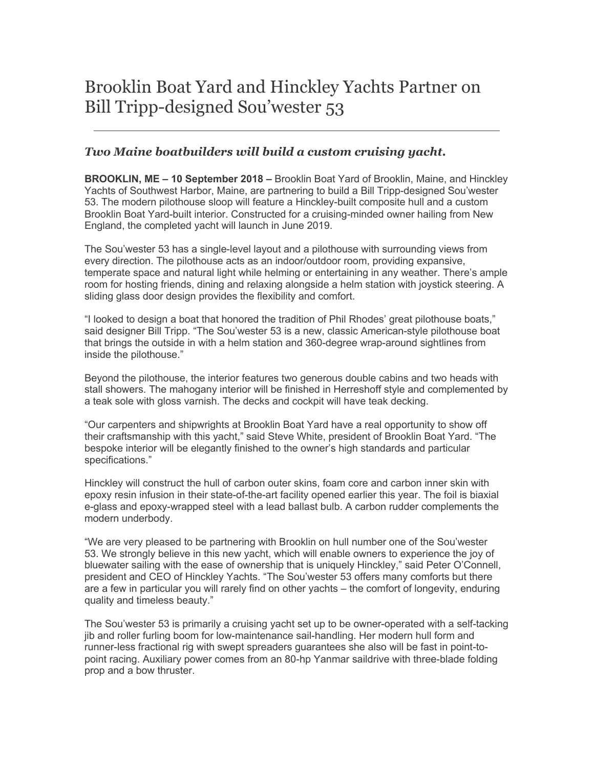# Brooklin Boat Yard and Hinckley Yachts Partner on Bill Tripp-designed Sou'wester 53

## *Two Maine boatbuilders will build a custom cruising yacht.*

**BROOKLIN, ME – 10 September 2018 –** Brooklin Boat Yard of Brooklin, Maine, and Hinckley Yachts of Southwest Harbor, Maine, are partnering to build a Bill Tripp-designed Sou'wester 53. The modern pilothouse sloop will feature a Hinckley-built composite hull and a custom Brooklin Boat Yard-built interior. Constructed for a cruising-minded owner hailing from New England, the completed yacht will launch in June 2019.

The Sou'wester 53 has a single-level layout and a pilothouse with surrounding views from every direction. The pilothouse acts as an indoor/outdoor room, providing expansive, temperate space and natural light while helming or entertaining in any weather. There's ample room for hosting friends, dining and relaxing alongside a helm station with joystick steering. A sliding glass door design provides the flexibility and comfort.

"I looked to design a boat that honored the tradition of Phil Rhodes' great pilothouse boats," said designer Bill Tripp. "The Sou'wester 53 is a new, classic American-style pilothouse boat that brings the outside in with a helm station and 360-degree wrap-around sightlines from inside the pilothouse."

Beyond the pilothouse, the interior features two generous double cabins and two heads with stall showers. The mahogany interior will be finished in Herreshoff style and complemented by a teak sole with gloss varnish. The decks and cockpit will have teak decking.

"Our carpenters and shipwrights at Brooklin Boat Yard have a real opportunity to show off their craftsmanship with this yacht," said Steve White, president of Brooklin Boat Yard. "The bespoke interior will be elegantly finished to the owner's high standards and particular specifications."

Hinckley will construct the hull of carbon outer skins, foam core and carbon inner skin with epoxy resin infusion in their state-of-the-art facility opened earlier this year. The foil is biaxial e-glass and epoxy-wrapped steel with a lead ballast bulb. A carbon rudder complements the modern underbody.

"We are very pleased to be partnering with Brooklin on hull number one of the Sou'wester 53. We strongly believe in this new yacht, which will enable owners to experience the joy of bluewater sailing with the ease of ownership that is uniquely Hinckley," said Peter O'Connell, president and CEO of Hinckley Yachts. "The Sou'wester 53 offers many comforts but there are a few in particular you will rarely find on other yachts – the comfort of longevity, enduring quality and timeless beauty."

The Sou'wester 53 is primarily a cruising yacht set up to be owner-operated with a self-tacking jib and roller furling boom for low-maintenance sail-handling. Her modern hull form and runner-less fractional rig with swept spreaders guarantees she also will be fast in point-topoint racing. Auxiliary power comes from an 80-hp Yanmar saildrive with three-blade folding prop and a bow thruster.